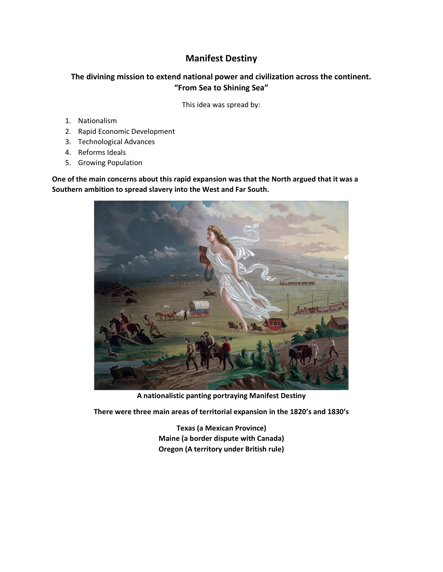## **Manifest Destiny**

### **The divining mission to extend national power and civilization across the continent. "From Sea to Shining Sea"**

This idea was spread by:

- 1. Nationalism
- 2. Rapid Economic Development
- 3. Technological Advances
- 4. Reforms Ideals
- 5. Growing Population

**One of the main concerns about this rapid expansion was that the North argued that it was a Southern ambition to spread slavery into the West and Far South.**



**A nationalistic panting portraying Manifest Destiny**

**There were three main areas of territorial expansion in the 1820's and 1830's**

**Texas (a Mexican Province) Maine (a border dispute with Canada) Oregon (A territory under British rule)**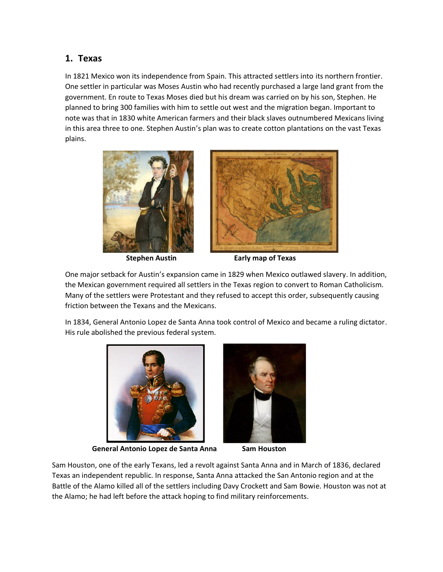## **1. Texas**

In 1821 Mexico won its independence from Spain. This attracted settlers into its northern frontier. One settler in particular was Moses Austin who had recently purchased a large land grant from the government. En route to Texas Moses died but his dream was carried on by his son, Stephen. He planned to bring 300 families with him to settle out west and the migration began. Important to note was that in 1830 white American farmers and their black slaves outnumbered Mexicans living in this area three to one. Stephen Austin's plan was to create cotton plantations on the vast Texas plains.





 **Stephen Austin Early map of Texas**

One major setback for Austin's expansion came in 1829 when Mexico outlawed slavery. In addition, the Mexican government required all settlers in the Texas region to convert to Roman Catholicism. Many of the settlers were Protestant and they refused to accept this order, subsequently causing friction between the Texans and the Mexicans.

In 1834, General Antonio Lopez de Santa Anna took control of Mexico and became a ruling dictator. His rule abolished the previous federal system.



 **General Antonio Lopez de Santa Anna Sam Houston**



Sam Houston, one of the early Texans, led a revolt against Santa Anna and in March of 1836, declared Texas an independent republic. In response, Santa Anna attacked the San Antonio region and at the Battle of the Alamo killed all of the settlers including Davy Crockett and Sam Bowie. Houston was not at the Alamo; he had left before the attack hoping to find military reinforcements.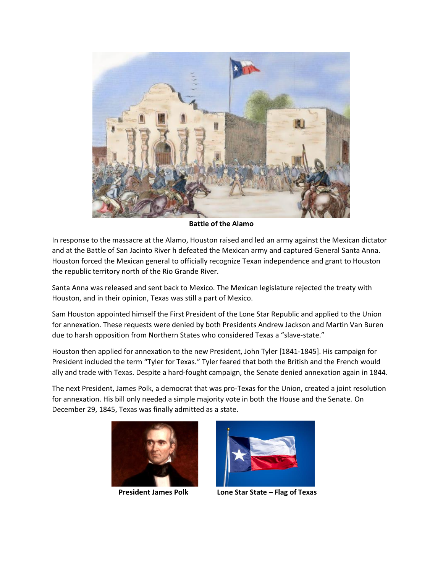

**Battle of the Alamo**

In response to the massacre at the Alamo, Houston raised and led an army against the Mexican dictator and at the Battle of San Jacinto River h defeated the Mexican army and captured General Santa Anna. Houston forced the Mexican general to officially recognize Texan independence and grant to Houston the republic territory north of the Rio Grande River.

Santa Anna was released and sent back to Mexico. The Mexican legislature rejected the treaty with Houston, and in their opinion, Texas was still a part of Mexico.

Sam Houston appointed himself the First President of the Lone Star Republic and applied to the Union for annexation. These requests were denied by both Presidents Andrew Jackson and Martin Van Buren due to harsh opposition from Northern States who considered Texas a "slave-state."

Houston then applied for annexation to the new President, John Tyler [1841-1845]. His campaign for President included the term "Tyler for Texas." Tyler feared that both the British and the French would ally and trade with Texas. Despite a hard-fought campaign, the Senate denied annexation again in 1844.

The next President, James Polk, a democrat that was pro-Texas for the Union, created a joint resolution for annexation. His bill only needed a simple majority vote in both the House and the Senate. On December 29, 1845, Texas was finally admitted as a state.





 **President James Polk Lone Star State – Flag of Texas**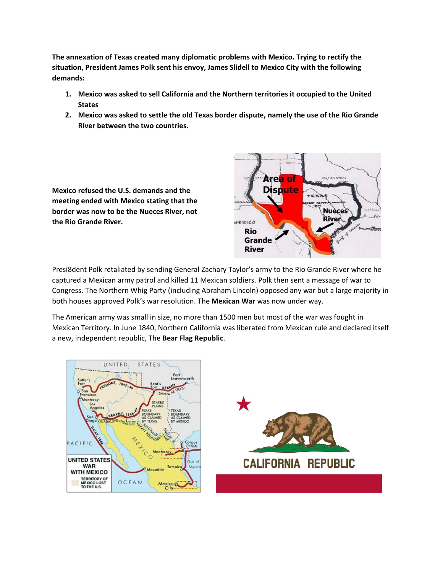**The annexation of Texas created many diplomatic problems with Mexico. Trying to rectify the situation, President James Polk sent his envoy, James Slidell to Mexico City with the following demands:**

- **1. Mexico was asked to sell California and the Northern territories it occupied to the United States**
- **2. Mexico was asked to settle the old Texas border dispute, namely the use of the Rio Grande River between the two countries.**

**Mexico refused the U.S. demands and the meeting ended with Mexico stating that the border was now to be the Nueces River, not the Rio Grande River.** 



Presi8dent Polk retaliated by sending General Zachary Taylor's army to the Rio Grande River where he captured a Mexican army patrol and killed 11 Mexican soldiers. Polk then sent a message of war to Congress. The Northern Whig Party (including Abraham Lincoln) opposed any war but a large majority in both houses approved Polk's war resolution. The **Mexican War** was now under way.

The American army was small in size, no more than 1500 men but most of the war was fought in Mexican Territory. In June 1840, Northern California was liberated from Mexican rule and declared itself a new, independent republic, The **Bear Flag Republic**.

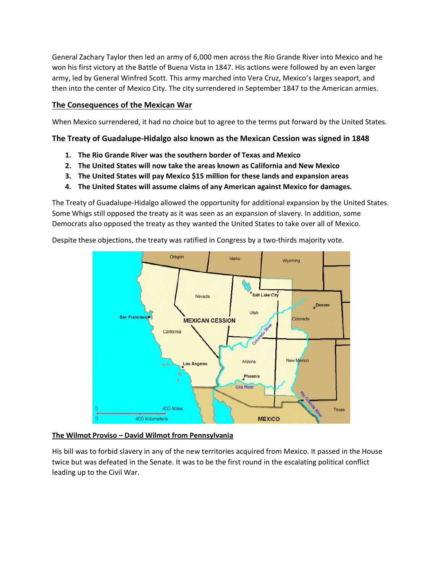General Zachary Taylor then led an army of 6,000 men across the Rio Grande River into Mexico and he won his first victory at the Battle of Buena Vista in 1847. His actions were followed by an even larger army, led by General Winfred Scott. This army marched into Vera Cruz, Mexico's larges seaport, and then into the center of Mexico City. The city surrendered in September 1847 to the American armies.

### **The Consequences of the Mexican War**

When Mexico surrendered, it had no choice but to agree to the terms put forward by the United States.

### **The Treaty of Guadalupe-Hidalgo also known as the Mexican Cession was signed in 1848**

- **1. The Rio Grande River was the southern border of Texas and Mexico**
- **2. The United States will now take the areas known as California and New Mexico**
- **3. The United States will pay Mexico \$15 million for these lands and expansion areas**
- **4. The United States will assume claims of any American against Mexico for damages.**

The Treaty of Guadalupe-Hidalgo allowed the opportunity for additional expansion by the United States. Some Whigs still opposed the treaty as it was seen as an expansion of slavery. In addition, some Democrats also opposed the treaty as they wanted the United States to take over all of Mexico.

Despite these objections, the treaty was ratified in Congress by a two-thirds majority vote.



#### **The Wilmot Proviso – David Wilmot from Pennsylvania**

His bill was to forbid slavery in any of the new territories acquired from Mexico. It passed in the House twice but was defeated in the Senate. It was to be the first round in the escalating political conflict leading up to the Civil War.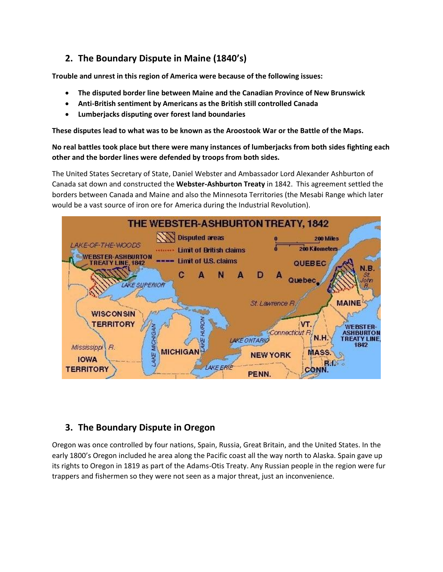# **2. The Boundary Dispute in Maine (1840's)**

**Trouble and unrest in this region of America were because of the following issues:**

- **The disputed border line between Maine and the Canadian Province of New Brunswick**
- **Anti-British sentiment by Americans as the British still controlled Canada**
- **Lumberjacks disputing over forest land boundaries**

**These disputes lead to what was to be known as the Aroostook War or the Battle of the Maps.**

**No real battles took place but there were many instances of lumberjacks from both sides fighting each other and the border lines were defended by troops from both sides.** 

The United States Secretary of State, Daniel Webster and Ambassador Lord Alexander Ashburton of Canada sat down and constructed the **Webster-Ashburton Treaty** in 1842. This agreement settled the borders between Canada and Maine and also the Minnesota Territories (the Mesabi Range which later would be a vast source of iron ore for America during the Industrial Revolution).



## **3. The Boundary Dispute in Oregon**

Oregon was once controlled by four nations, Spain, Russia, Great Britain, and the United States. In the early 1800's Oregon included he area along the Pacific coast all the way north to Alaska. Spain gave up its rights to Oregon in 1819 as part of the Adams-Otis Treaty. Any Russian people in the region were fur trappers and fishermen so they were not seen as a major threat, just an inconvenience.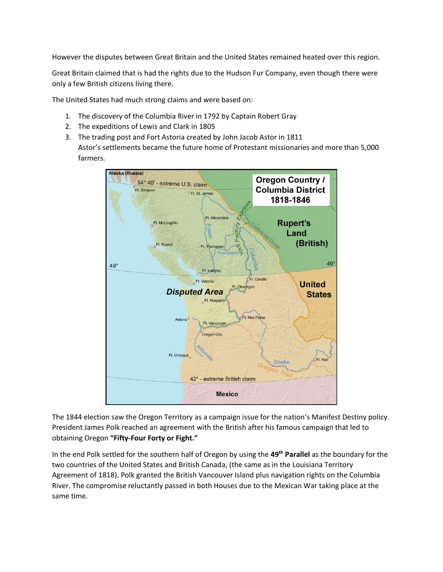However the disputes between Great Britain and the United States remained heated over this region.

Great Britain claimed that is had the rights due to the Hudson Fur Company, even though there were only a few British citizens living there.

The United States had much strong claims and were based on:

- 1. The discovery of the Columbia River in 1792 by Captain Robert Gray
- 2. The expeditions of Lewis and Clark in 1805
- 3. The trading post and Fort Astoria created by John Jacob Astor in 1811 Astor's settlements became the future home of Protestant missionaries and more than 5,000 farmers.



The 1844 election saw the Oregon Territory as a campaign issue for the nation's Manifest Destiny policy. President James Polk reached an agreement with the British after his famous campaign that led to obtaining Oregon **"Fifty-Four Forty or Fight."**

In the end Polk settled for the southern half of Oregon by using the **49th Parallel** as the boundary for the two countries of the United States and British Canada, (the same as in the Louisiana Territory Agreement of 1818). Polk granted the British Vancouver Island plus navigation rights on the Columbia River. The compromise reluctantly passed in both Houses due to the Mexican War taking place at the same time.